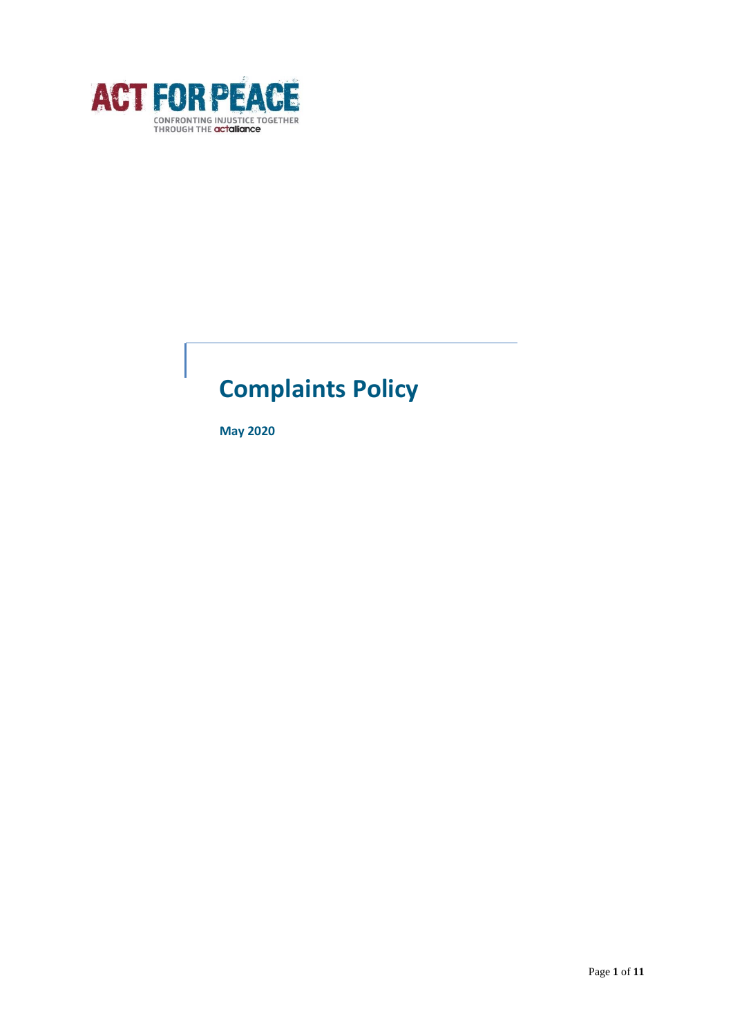

# **Complaints Policy**

**May 2020**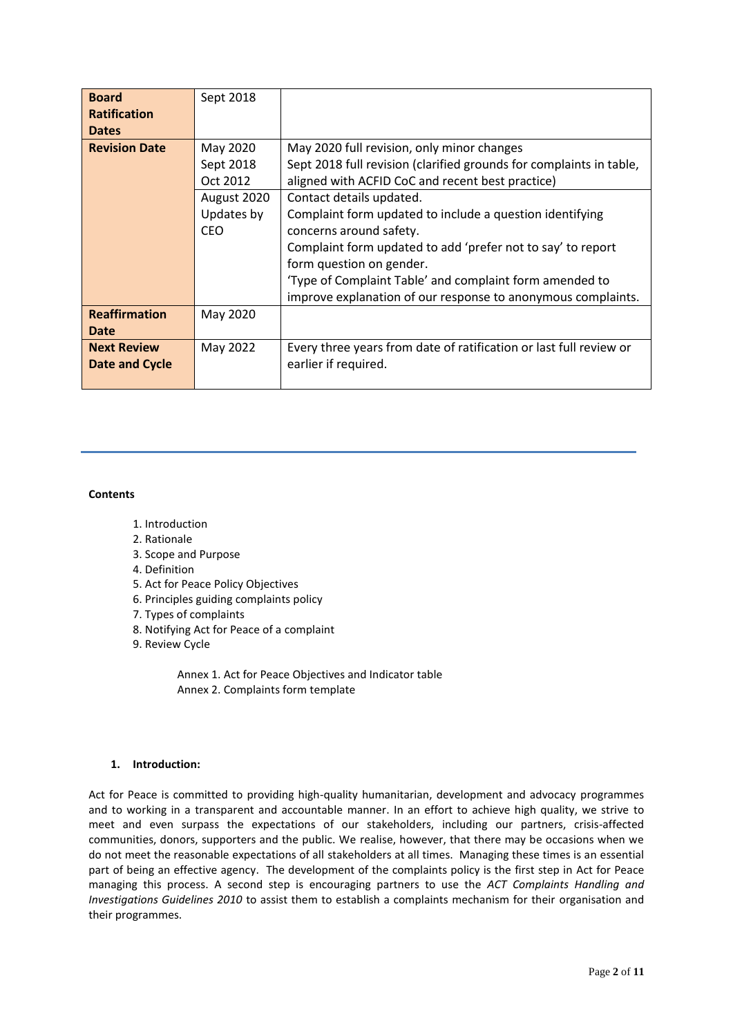| <b>Board</b>         | Sept 2018   |                                                                     |
|----------------------|-------------|---------------------------------------------------------------------|
| <b>Ratification</b>  |             |                                                                     |
| <b>Dates</b>         |             |                                                                     |
| <b>Revision Date</b> | May 2020    | May 2020 full revision, only minor changes                          |
|                      | Sept 2018   | Sept 2018 full revision (clarified grounds for complaints in table, |
|                      | Oct 2012    | aligned with ACFID CoC and recent best practice)                    |
|                      | August 2020 | Contact details updated.                                            |
|                      | Updates by  | Complaint form updated to include a question identifying            |
|                      | <b>CEO</b>  | concerns around safety.                                             |
|                      |             | Complaint form updated to add 'prefer not to say' to report         |
|                      |             | form question on gender.                                            |
|                      |             | 'Type of Complaint Table' and complaint form amended to             |
|                      |             | improve explanation of our response to anonymous complaints.        |
| <b>Reaffirmation</b> | May 2020    |                                                                     |
| <b>Date</b>          |             |                                                                     |
| <b>Next Review</b>   | May 2022    | Every three years from date of ratification or last full review or  |
| Date and Cycle       |             | earlier if required.                                                |
|                      |             |                                                                     |

# **Contents**

- 1. Introduction
- 2. Rationale
- 3. Scope and Purpose
- 4. Definition
- 5. Act for Peace Policy Objectives
- 6. Principles guiding complaints policy
- 7. Types of complaints
- 8. Notifying Act for Peace of a complaint
- 9. Review Cycle

Annex 1. Act for Peace Objectives and Indicator table Annex 2. Complaints form template

#### **1. Introduction:**

Act for Peace is committed to providing high-quality humanitarian, development and advocacy programmes and to working in a transparent and accountable manner. In an effort to achieve high quality, we strive to meet and even surpass the expectations of our stakeholders, including our partners, crisis-affected communities, donors, supporters and the public. We realise, however, that there may be occasions when we do not meet the reasonable expectations of all stakeholders at all times. Managing these times is an essential part of being an effective agency. The development of the complaints policy is the first step in Act for Peace managing this process. A second step is encouraging partners to use the *ACT Complaints Handling and Investigations Guidelines 2010* to assist them to establish a complaints mechanism for their organisation and their programmes.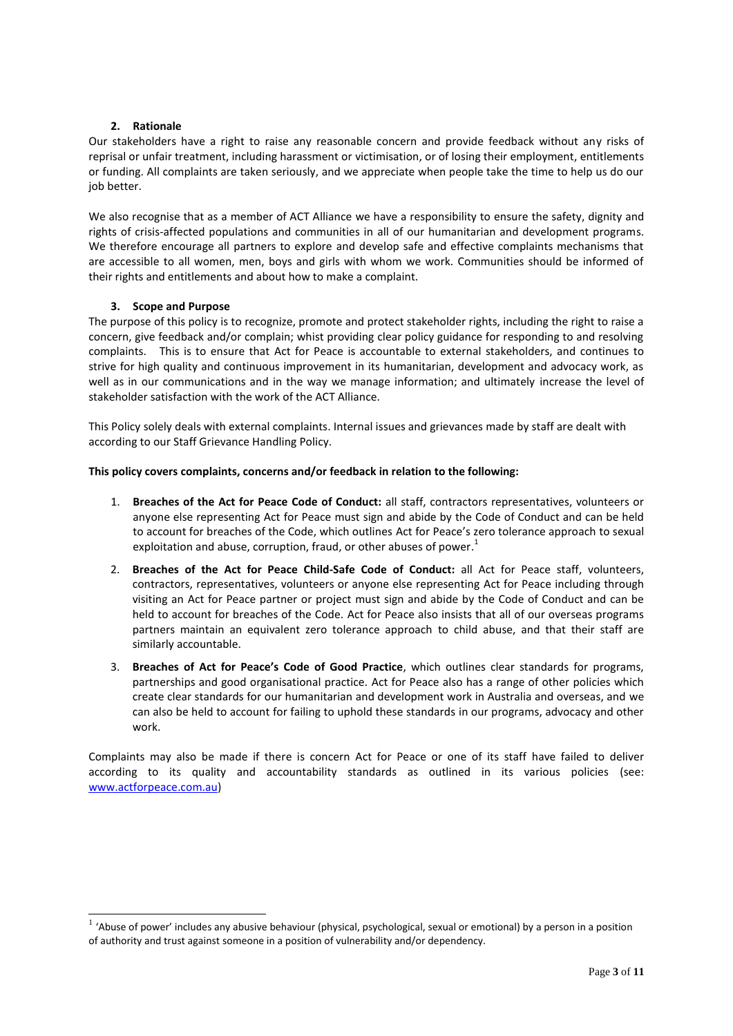#### **2. Rationale**

Our stakeholders have a right to raise any reasonable concern and provide feedback without any risks of reprisal or unfair treatment, including harassment or victimisation, or of losing their employment, entitlements or funding. All complaints are taken seriously, and we appreciate when people take the time to help us do our job better.

We also recognise that as a member of ACT Alliance we have a responsibility to ensure the safety, dignity and rights of crisis-affected populations and communities in all of our humanitarian and development programs. We therefore encourage all partners to explore and develop safe and effective complaints mechanisms that are accessible to all women, men, boys and girls with whom we work. Communities should be informed of their rights and entitlements and about how to make a complaint.

#### **3. Scope and Purpose**

-

The purpose of this policy is to recognize, promote and protect stakeholder rights, including the right to raise a concern, give feedback and/or complain; whist providing clear policy guidance for responding to and resolving complaints. This is to ensure that Act for Peace is accountable to external stakeholders, and continues to strive for high quality and continuous improvement in its humanitarian, development and advocacy work, as well as in our communications and in the way we manage information; and ultimately increase the level of stakeholder satisfaction with the work of the ACT Alliance.

This Policy solely deals with external complaints. Internal issues and grievances made by staff are dealt with according to our Staff Grievance Handling Policy.

#### **This policy covers complaints, concerns and/or feedback in relation to the following:**

- 1. **Breaches of the Act for Peace Code of Conduct:** all staff, contractors representatives, volunteers or anyone else representing Act for Peace must sign and abide by the Code of Conduct and can be held to account for breaches of the Code, which outlines Act for Peace's zero tolerance approach to sexual exploitation and abuse, corruption, fraud, or other abuses of power. $^{1}$
- 2. **Breaches of the Act for Peace Child-Safe Code of Conduct:** all Act for Peace staff, volunteers, contractors, representatives, volunteers or anyone else representing Act for Peace including through visiting an Act for Peace partner or project must sign and abide by the Code of Conduct and can be held to account for breaches of the Code. Act for Peace also insists that all of our overseas programs partners maintain an equivalent zero tolerance approach to child abuse, and that their staff are similarly accountable.
- 3. **Breaches of Act for Peace's Code of Good Practice**, which outlines clear standards for programs, partnerships and good organisational practice. Act for Peace also has a range of other policies which create clear standards for our humanitarian and development work in Australia and overseas, and we can also be held to account for failing to uphold these standards in our programs, advocacy and other work.

Complaints may also be made if there is concern Act for Peace or one of its staff have failed to deliver according to its quality and accountability standards as outlined in its various policies (see: [www.actforpeace.com.au\)](http://www.actforpeace.com.au/)

 $<sup>1</sup>$  'Abuse of power' includes any abusive behaviour (physical, psychological, sexual or emotional) by a person in a position</sup> of authority and trust against someone in a position of vulnerability and/or dependency.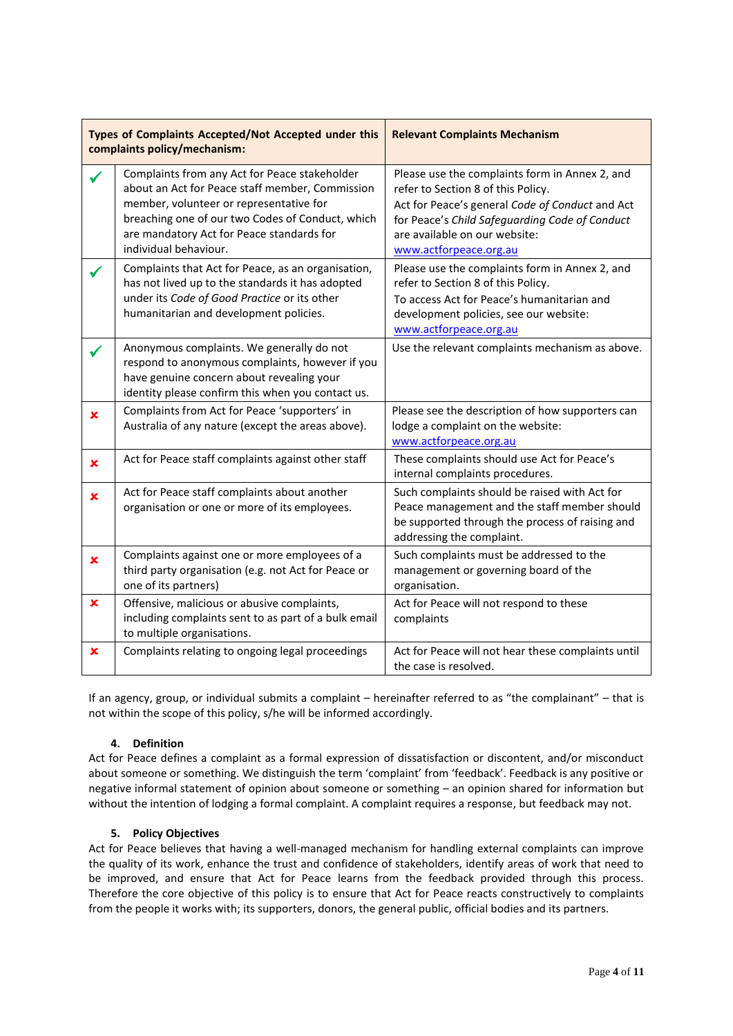|             | Types of Complaints Accepted/Not Accepted under this<br>complaints policy/mechanism:                                                                                                                                                                                  | <b>Relevant Complaints Mechanism</b>                                                                                                                                                                                                                 |
|-------------|-----------------------------------------------------------------------------------------------------------------------------------------------------------------------------------------------------------------------------------------------------------------------|------------------------------------------------------------------------------------------------------------------------------------------------------------------------------------------------------------------------------------------------------|
|             | Complaints from any Act for Peace stakeholder<br>about an Act for Peace staff member, Commission<br>member, volunteer or representative for<br>breaching one of our two Codes of Conduct, which<br>are mandatory Act for Peace standards for<br>individual behaviour. | Please use the complaints form in Annex 2, and<br>refer to Section 8 of this Policy.<br>Act for Peace's general Code of Conduct and Act<br>for Peace's Child Safeguarding Code of Conduct<br>are available on our website:<br>www.actforpeace.org.au |
|             | Complaints that Act for Peace, as an organisation,<br>has not lived up to the standards it has adopted<br>under its Code of Good Practice or its other<br>humanitarian and development policies.                                                                      | Please use the complaints form in Annex 2, and<br>refer to Section 8 of this Policy.<br>To access Act for Peace's humanitarian and<br>development policies, see our website:<br>www.actforpeace.org.au                                               |
|             | Anonymous complaints. We generally do not<br>respond to anonymous complaints, however if you<br>have genuine concern about revealing your<br>identity please confirm this when you contact us.                                                                        | Use the relevant complaints mechanism as above.                                                                                                                                                                                                      |
| $\mathbf x$ | Complaints from Act for Peace 'supporters' in<br>Australia of any nature (except the areas above).                                                                                                                                                                    | Please see the description of how supporters can<br>lodge a complaint on the website:<br>www.actforpeace.org.au                                                                                                                                      |
| ×           | Act for Peace staff complaints against other staff                                                                                                                                                                                                                    | These complaints should use Act for Peace's<br>internal complaints procedures.                                                                                                                                                                       |
| ×           | Act for Peace staff complaints about another<br>organisation or one or more of its employees.                                                                                                                                                                         | Such complaints should be raised with Act for<br>Peace management and the staff member should<br>be supported through the process of raising and<br>addressing the complaint.                                                                        |
| ×           | Complaints against one or more employees of a<br>third party organisation (e.g. not Act for Peace or<br>one of its partners)                                                                                                                                          | Such complaints must be addressed to the<br>management or governing board of the<br>organisation.                                                                                                                                                    |
| ×           | Offensive, malicious or abusive complaints,<br>including complaints sent to as part of a bulk email<br>to multiple organisations.                                                                                                                                     | Act for Peace will not respond to these<br>complaints                                                                                                                                                                                                |
| ×           | Complaints relating to ongoing legal proceedings                                                                                                                                                                                                                      | Act for Peace will not hear these complaints until<br>the case is resolved.                                                                                                                                                                          |

If an agency, group, or individual submits a complaint – hereinafter referred to as "the complainant" – that is not within the scope of this policy, s/he will be informed accordingly.

# **4. Definition**

Act for Peace defines a complaint as a formal expression of dissatisfaction or discontent, and/or misconduct about someone or something. We distinguish the term 'complaint' from 'feedback'. Feedback is any positive or negative informal statement of opinion about someone or something – an opinion shared for information but without the intention of lodging a formal complaint. A complaint requires a response, but feedback may not.

### **5. Policy Objectives**

Act for Peace believes that having a well-managed mechanism for handling external complaints can improve the quality of its work, enhance the trust and confidence of stakeholders, identify areas of work that need to be improved, and ensure that Act for Peace learns from the feedback provided through this process. Therefore the core objective of this policy is to ensure that Act for Peace reacts constructively to complaints from the people it works with; its supporters, donors, the general public, official bodies and its partners.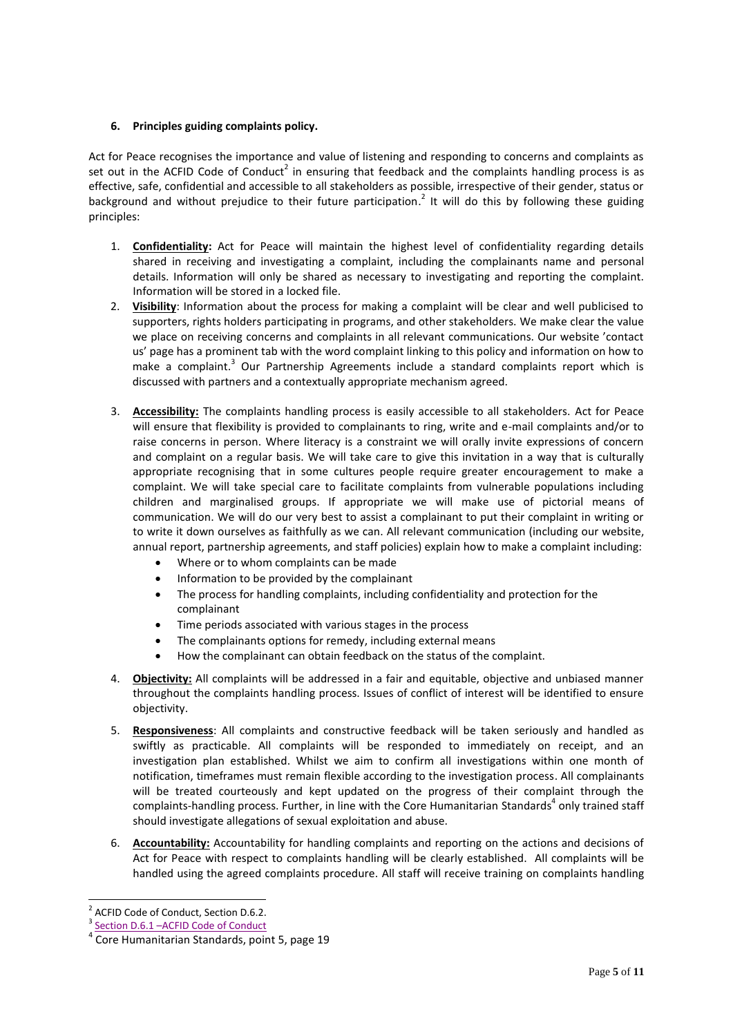# **6. Principles guiding complaints policy.**

Act for Peace recognises the importance and value of listening and responding to concerns and complaints as set out in the ACFID Code of Conduct<sup>2</sup> in ensuring that feedback and the complaints handling process is as effective, safe, confidential and accessible to all stakeholders as possible, irrespective of their gender, status or background and without prejudice to their future participation.<sup>2</sup> It will do this by following these guiding principles:

- 1. **Confidentiality:** Act for Peace will maintain the highest level of confidentiality regarding details shared in receiving and investigating a complaint, including the complainants name and personal details. Information will only be shared as necessary to investigating and reporting the complaint. Information will be stored in a locked file.
- 2. **Visibility**: Information about the process for making a complaint will be clear and well publicised to supporters, rights holders participating in programs, and other stakeholders. We make clear the value we place on receiving concerns and complaints in all relevant communications. Our website 'contact us' page has a prominent tab with the word complaint linking to this policy and information on how to make a complaint.<sup>3</sup> Our Partnership Agreements include a standard complaints report which is discussed with partners and a contextually appropriate mechanism agreed.
- 3. **Accessibility:** The complaints handling process is easily accessible to all stakeholders. Act for Peace will ensure that flexibility is provided to complainants to ring, write and e-mail complaints and/or to raise concerns in person. Where literacy is a constraint we will orally invite expressions of concern and complaint on a regular basis. We will take care to give this invitation in a way that is culturally appropriate recognising that in some cultures people require greater encouragement to make a complaint. We will take special care to facilitate complaints from vulnerable populations including children and marginalised groups. If appropriate we will make use of pictorial means of communication. We will do our very best to assist a complainant to put their complaint in writing or to write it down ourselves as faithfully as we can. All relevant communication (including our website, annual report, partnership agreements, and staff policies) explain how to make a complaint including:
	- Where or to whom complaints can be made
	- Information to be provided by the complainant
	- The process for handling complaints, including confidentiality and protection for the complainant
	- Time periods associated with various stages in the process
	- The complainants options for remedy, including external means
	- How the complainant can obtain feedback on the status of the complaint.
- 4. **Objectivity:** All complaints will be addressed in a fair and equitable, objective and unbiased manner throughout the complaints handling process. Issues of conflict of interest will be identified to ensure objectivity.
- 5. **Responsiveness**: All complaints and constructive feedback will be taken seriously and handled as swiftly as practicable. All complaints will be responded to immediately on receipt, and an investigation plan established. Whilst we aim to confirm all investigations within one month of notification, timeframes must remain flexible according to the investigation process. All complainants will be treated courteously and kept updated on the progress of their complaint through the complaints-handling process. Further, in line with the Core Humanitarian Standards<sup>4</sup> only trained staff should investigate allegations of sexual exploitation and abuse.
- 6. **Accountability:** Accountability for handling complaints and reporting on the actions and decisions of Act for Peace with respect to complaints handling will be clearly established. All complaints will be handled using the agreed complaints procedure. All staff will receive training on complaints handling

<sup>-</sup><sup>2</sup> ACFID Code of Conduct, Section D.6.2.

<sup>3</sup> Section D.6.1 - [ACFID Code of Conduct](https://acfid.asn.au/use-the-code/d6-complaint-handling-within-signatory-organisations)

<sup>4</sup> Core Humanitarian Standards, point 5, page 19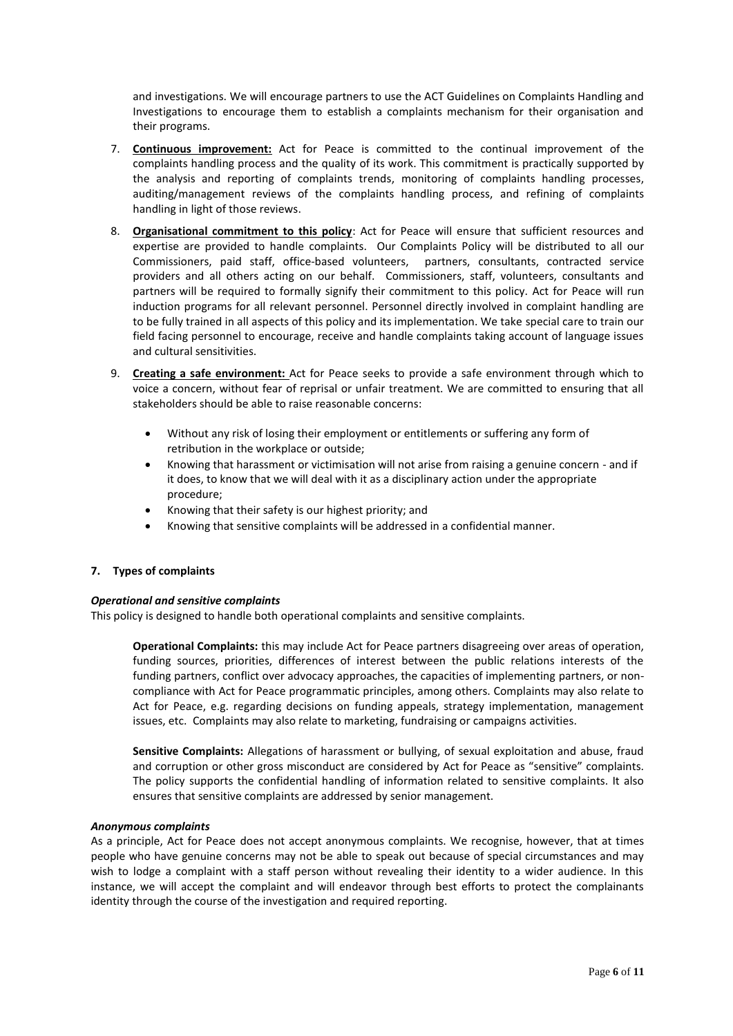and investigations. We will encourage partners to use the ACT Guidelines on Complaints Handling and Investigations to encourage them to establish a complaints mechanism for their organisation and their programs.

- 7. **Continuous improvement:** Act for Peace is committed to the continual improvement of the complaints handling process and the quality of its work. This commitment is practically supported by the analysis and reporting of complaints trends, monitoring of complaints handling processes, auditing/management reviews of the complaints handling process, and refining of complaints handling in light of those reviews.
- 8. **Organisational commitment to this policy**: Act for Peace will ensure that sufficient resources and expertise are provided to handle complaints. Our Complaints Policy will be distributed to all our Commissioners, paid staff, office-based volunteers, partners, consultants, contracted service providers and all others acting on our behalf. Commissioners, staff, volunteers, consultants and partners will be required to formally signify their commitment to this policy. Act for Peace will run induction programs for all relevant personnel. Personnel directly involved in complaint handling are to be fully trained in all aspects of this policy and its implementation. We take special care to train our field facing personnel to encourage, receive and handle complaints taking account of language issues and cultural sensitivities.
- 9. **Creating a safe environment:** Act for Peace seeks to provide a safe environment through which to voice a concern, without fear of reprisal or unfair treatment. We are committed to ensuring that all stakeholders should be able to raise reasonable concerns:
	- Without any risk of losing their employment or entitlements or suffering any form of retribution in the workplace or outside;
	- Knowing that harassment or victimisation will not arise from raising a genuine concern and if it does, to know that we will deal with it as a disciplinary action under the appropriate procedure;
	- Knowing that their safety is our highest priority; and
	- Knowing that sensitive complaints will be addressed in a confidential manner.

### **7. Types of complaints**

### *Operational and sensitive complaints*

This policy is designed to handle both operational complaints and sensitive complaints.

**Operational Complaints:** this may include Act for Peace partners disagreeing over areas of operation, funding sources, priorities, differences of interest between the public relations interests of the funding partners, conflict over advocacy approaches, the capacities of implementing partners, or noncompliance with Act for Peace programmatic principles, among others. Complaints may also relate to Act for Peace, e.g. regarding decisions on funding appeals, strategy implementation, management issues, etc. Complaints may also relate to marketing, fundraising or campaigns activities.

**Sensitive Complaints:** Allegations of harassment or bullying, of sexual exploitation and abuse, fraud and corruption or other gross misconduct are considered by Act for Peace as "sensitive" complaints. The policy supports the confidential handling of information related to sensitive complaints. It also ensures that sensitive complaints are addressed by senior management.

#### *Anonymous complaints*

As a principle, Act for Peace does not accept anonymous complaints. We recognise, however, that at times people who have genuine concerns may not be able to speak out because of special circumstances and may wish to lodge a complaint with a staff person without revealing their identity to a wider audience. In this instance, we will accept the complaint and will endeavor through best efforts to protect the complainants identity through the course of the investigation and required reporting.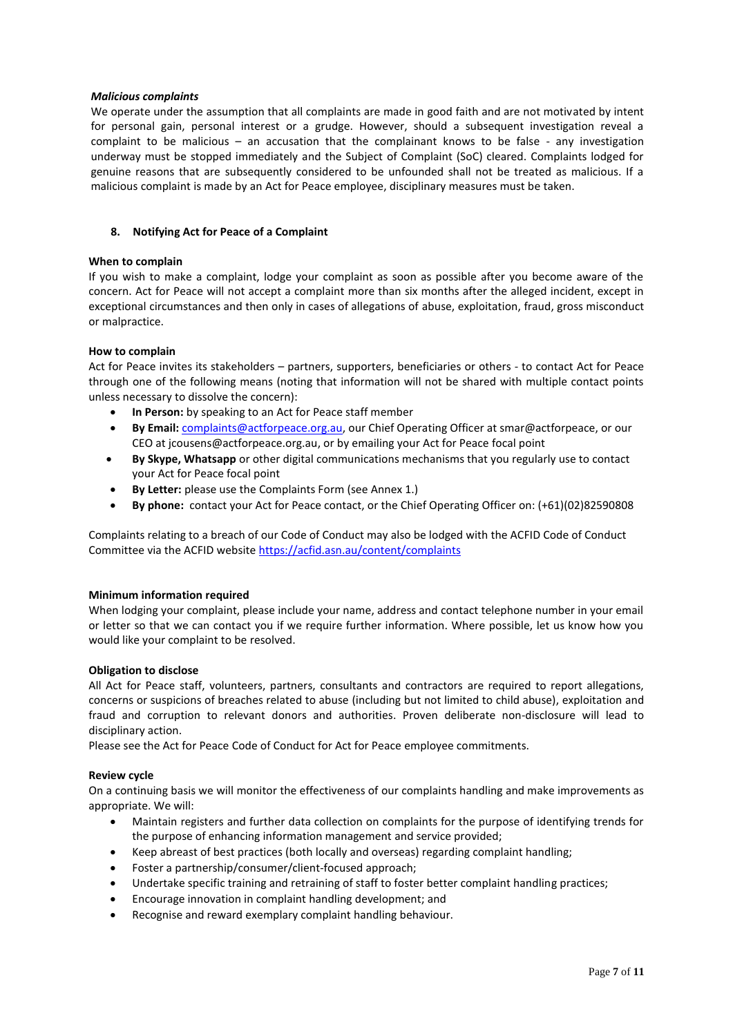#### *Malicious complaints*

We operate under the assumption that all complaints are made in good faith and are not motivated by intent for personal gain, personal interest or a grudge. However, should a subsequent investigation reveal a complaint to be malicious – an accusation that the complainant knows to be false - any investigation underway must be stopped immediately and the Subject of Complaint (SoC) cleared. Complaints lodged for genuine reasons that are subsequently considered to be unfounded shall not be treated as malicious. If a malicious complaint is made by an Act for Peace employee, disciplinary measures must be taken.

#### **8. Notifying Act for Peace of a Complaint**

#### **When to complain**

If you wish to make a complaint, lodge your complaint as soon as possible after you become aware of the concern. Act for Peace will not accept a complaint more than six months after the alleged incident, except in exceptional circumstances and then only in cases of allegations of abuse, exploitation, fraud, gross misconduct or malpractice.

#### **How to complain**

Act for Peace invites its stakeholders – partners, supporters, beneficiaries or others - to contact Act for Peace through one of the following means (noting that information will not be shared with multiple contact points unless necessary to dissolve the concern):

- **In Person:** by speaking to an Act for Peace staff member
- **By Email:** [complaints@actforpeace.org.au,](mailto:complaints@actforpeace.org.au) our Chief Operating Officer at smar@actforpeace, or our CEO at jcousens@actforpeace.org.au, or by emailing your Act for Peace focal point
- **By Skype, Whatsapp** or other digital communications mechanisms that you regularly use to contact your Act for Peace focal point
- **By Letter:** please use the Complaints Form (see Annex 1.)
- **By phone:** contact your Act for Peace contact, or the Chief Operating Officer on: (+61)(02)82590808

Complaints relating to a breach of our Code of Conduct may also be lodged with the ACFID Code of Conduct Committee via the ACFID website<https://acfid.asn.au/content/complaints>

### **Minimum information required**

When lodging your complaint, please include your name, address and contact telephone number in your email or letter so that we can contact you if we require further information. Where possible, let us know how you would like your complaint to be resolved.

#### **Obligation to disclose**

All Act for Peace staff, volunteers, partners, consultants and contractors are required to report allegations, concerns or suspicions of breaches related to abuse (including but not limited to child abuse), exploitation and fraud and corruption to relevant donors and authorities. Proven deliberate non-disclosure will lead to disciplinary action.

Please see the Act for Peace Code of Conduct for Act for Peace employee commitments.

### **Review cycle**

On a continuing basis we will monitor the effectiveness of our complaints handling and make improvements as appropriate. We will:

- Maintain registers and further data collection on complaints for the purpose of identifying trends for the purpose of enhancing information management and service provided;
- Keep abreast of best practices (both locally and overseas) regarding complaint handling;
- Foster a partnership/consumer/client-focused approach;
- Undertake specific training and retraining of staff to foster better complaint handling practices;
- Encourage innovation in complaint handling development; and
- Recognise and reward exemplary complaint handling behaviour.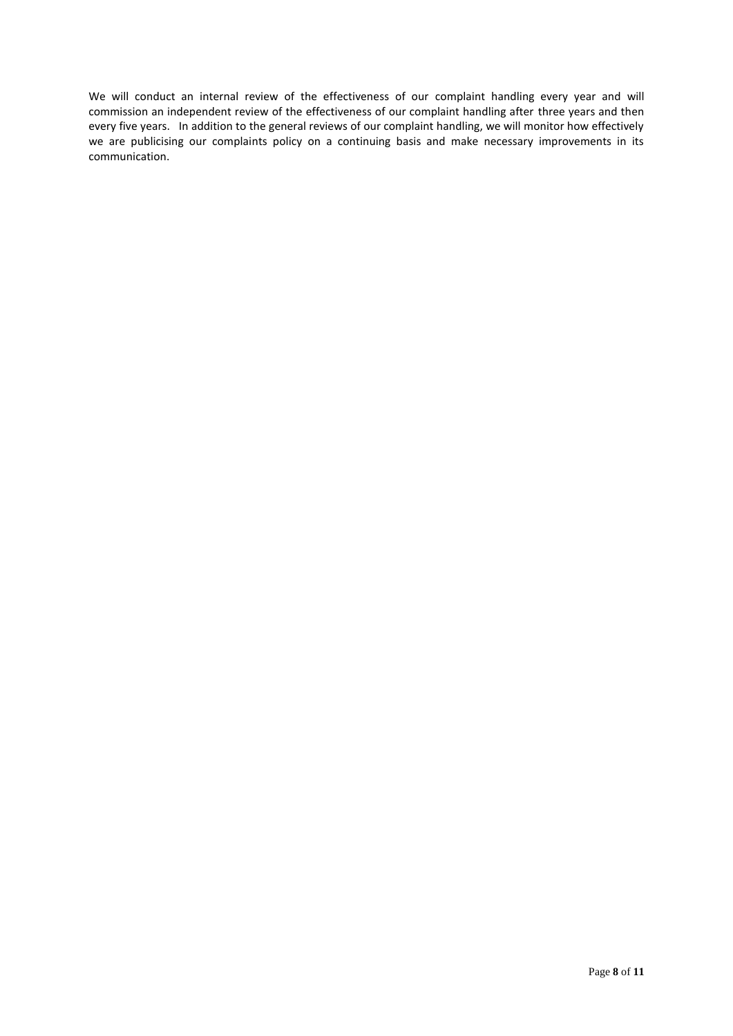We will conduct an internal review of the effectiveness of our complaint handling every year and will commission an independent review of the effectiveness of our complaint handling after three years and then every five years. In addition to the general reviews of our complaint handling, we will monitor how effectively we are publicising our complaints policy on a continuing basis and make necessary improvements in its communication.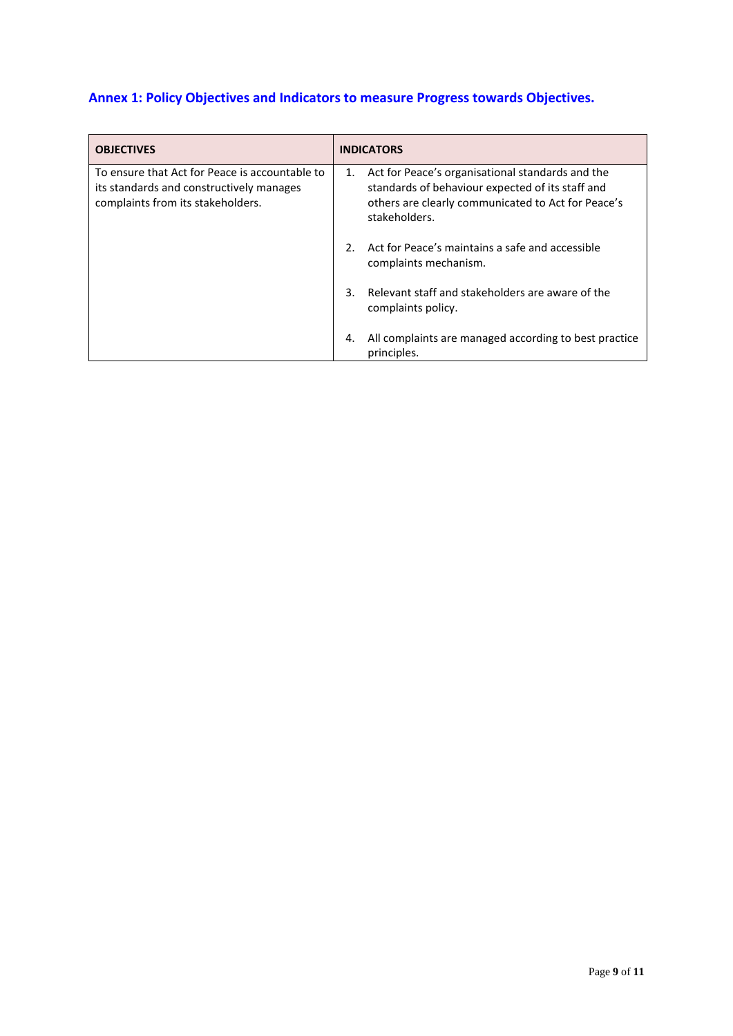# **Annex 1: Policy Objectives and Indicators to measure Progress towards Objectives.**

| <b>OBJECTIVES</b>                                                                                                               |               | <b>INDICATORS</b>                                                                                                                                                           |  |
|---------------------------------------------------------------------------------------------------------------------------------|---------------|-----------------------------------------------------------------------------------------------------------------------------------------------------------------------------|--|
| To ensure that Act for Peace is accountable to<br>its standards and constructively manages<br>complaints from its stakeholders. | 1.            | Act for Peace's organisational standards and the<br>standards of behaviour expected of its staff and<br>others are clearly communicated to Act for Peace's<br>stakeholders. |  |
|                                                                                                                                 | $\mathcal{P}$ | Act for Peace's maintains a safe and accessible<br>complaints mechanism.                                                                                                    |  |
|                                                                                                                                 | 3             | Relevant staff and stakeholders are aware of the<br>complaints policy.                                                                                                      |  |
|                                                                                                                                 | 4.            | All complaints are managed according to best practice<br>principles.                                                                                                        |  |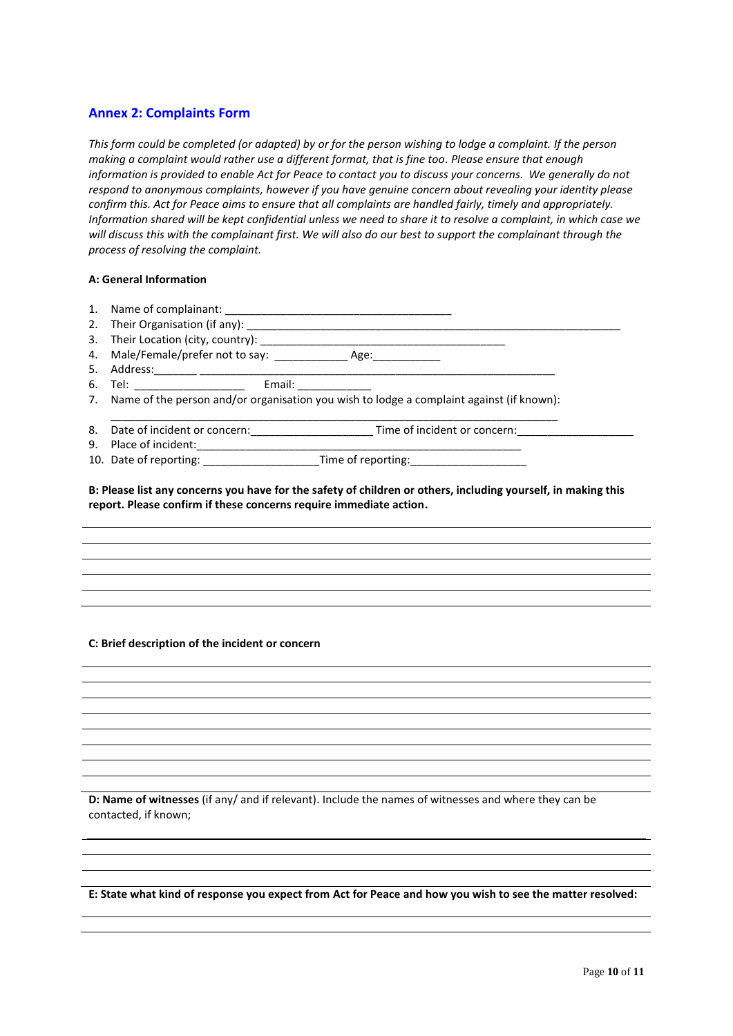## **Annex 2: Complaints Form**

*This form could be completed (or adapted) by or for the person wishing to lodge a complaint. If the person making a complaint would rather use a different format, that is fine too. Please ensure that enough information is provided to enable Act for Peace to contact you to discuss your concerns. We generally do not respond to anonymous complaints, however if you have genuine concern about revealing your identity please confirm this. Act for Peace aims to ensure that all complaints are handled fairly, timely and appropriately. Information shared will be kept confidential unless we need to share it to resolve a complaint, in which case we will discuss this with the complainant first. We will also do our best to support the complainant through the process of resolving the complaint.* 

#### **A: General Information**

| 2.<br>3. | Their Organisation (if any):                                                                |  |  |  |
|----------|---------------------------------------------------------------------------------------------|--|--|--|
|          |                                                                                             |  |  |  |
| 5.       | Address: ________ _________                                                                 |  |  |  |
| 6.       | Email:<br>Tel: ________________                                                             |  |  |  |
|          | 7. Name of the person and/or organisation you wish to lodge a complaint against (if known): |  |  |  |
| 8.       | Date of incident or concern:<br>Time of incident or concern:                                |  |  |  |
| 9.       | Place of incident:                                                                          |  |  |  |
| 10.      | Date of reporting:                                                                          |  |  |  |

**B: Please list any concerns you have for the safety of children or others, including yourself, in making this report. Please confirm if these concerns require immediate action.** 

#### **C: Brief description of the incident or concern**

**D: Name of witnesses** (if any/ and if relevant). Include the names of witnesses and where they can be contacted, if known;

**E: State what kind of response you expect from Act for Peace and how you wish to see the matter resolved:**